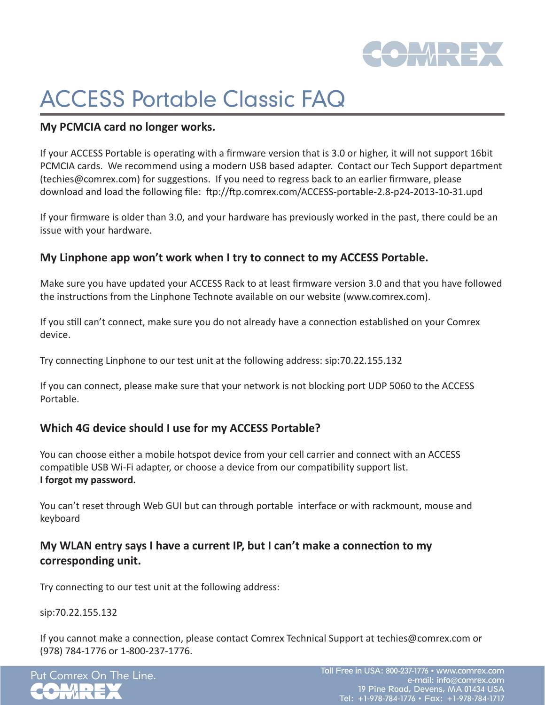

# ACCESS Portable Classic FAQ

#### **My PCMCIA card no longer works.**

If your ACCESS Portable is operating with a firmware version that is 3.0 or higher, it will not support 16bit PCMCIA cards. We recommend using a modern USB based adapter. Contact our Tech Support department (techies@comrex.com) for suggestions. If you need to regress back to an earlier firmware, please download and load the following file: ftp://ftp.comrex.com/ACCESS-portable-2.8-p24-2013-10-31.upd

If your firmware is older than 3.0, and your hardware has previously worked in the past, there could be an issue with your hardware.

## **My Linphone app won't work when I try to connect to my ACCESS Portable.**

Make sure you have updated your ACCESS Rack to at least firmware version 3.0 and that you have followed the instructions from the Linphone Technote available on our website (www.comrex.com).

If you still can't connect, make sure you do not already have a connection established on your Comrex device.

Try connecting Linphone to our test unit at the following address: sip:70.22.155.132

If you can connect, please make sure that your network is not blocking port UDP 5060 to the ACCESS Portable.

# **Which 4G device should I use for my ACCESS Portable?**

You can choose either a mobile hotspot device from your cell carrier and connect with an ACCESS compatible USB Wi-Fi adapter, or choose a device from our compatibility support list. **I forgot my password.**

You can't reset through Web GUI but can through portable interface or with rackmount, mouse and keyboard

# **My WLAN entry says I have a current IP, but I can't make a connection to my corresponding unit.**

Try connecting to our test unit at the following address:

sip:70.22.155.132

If you cannot make a connection, please contact Comrex Technical Support at techies@comrex.com or (978) 784-1776 or 1-800-237-1776.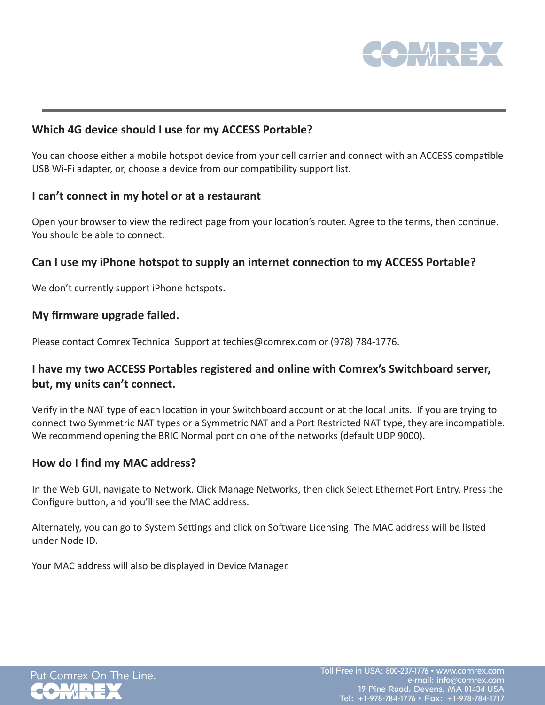

## **Which 4G device should I use for my ACCESS Portable?**

You can choose either a mobile hotspot device from your cell carrier and connect with an ACCESS compatible USB Wi-Fi adapter, or, choose a device from our compatibility support list.

#### **I can't connect in my hotel or at a restaurant**

Open your browser to view the redirect page from your location's router. Agree to the terms, then continue. You should be able to connect.

## **Can I use my iPhone hotspot to supply an internet connection to my ACCESS Portable?**

We don't currently support iPhone hotspots.

#### **My firmware upgrade failed.**

Please contact Comrex Technical Support at techies@comrex.com or (978) 784-1776.

# **I have my two ACCESS Portables registered and online with Comrex's Switchboard server, but, my units can't connect.**

Verify in the NAT type of each location in your Switchboard account or at the local units. If you are trying to connect two Symmetric NAT types or a Symmetric NAT and a Port Restricted NAT type, they are incompatible. We recommend opening the BRIC Normal port on one of the networks (default UDP 9000).

## **How do I find my MAC address?**

In the Web GUI, navigate to Network. Click Manage Networks, then click Select Ethernet Port Entry. Press the Configure button, and you'll see the MAC address.

Alternately, you can go to System Settings and click on Software Licensing. The MAC address will be listed under Node ID.

Your MAC address will also be displayed in Device Manager.